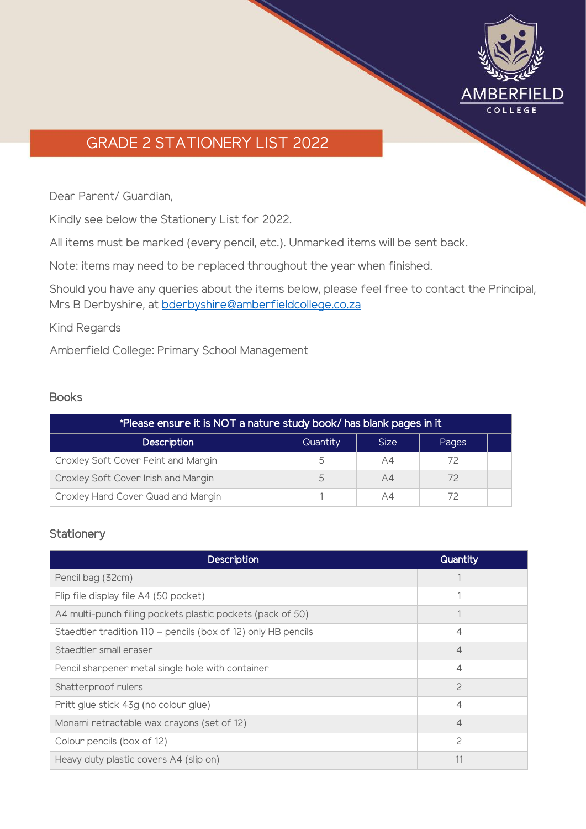

# GRADE 2 STATIONERY LIST 2022

Dear Parent/ Guardian,

Kindly see below the Stationery List for 2022.

All items must be marked (every pencil, etc.). Unmarked items will be sent back.

Note: items may need to be replaced throughout the year when finished.

Should you have any queries about the items below, please feel free to contact the Principal, Mrs B Derbyshire, at [bderbyshire@amberfieldcollege.co.za](mailto:bderbyshire@amberfieldcollege.co.za)

Kind Regards

Amberfield College: Primary School Management

#### Books

| *Please ensure it is NOT a nature study book/ has blank pages in it |          |             |       |  |
|---------------------------------------------------------------------|----------|-------------|-------|--|
| <b>Description</b>                                                  | Quantity | <b>Size</b> | Pages |  |
| Croxley Soft Cover Feint and Margin                                 | 5        | A4          | 72    |  |
| Croxley Soft Cover Irish and Margin                                 | 5        | A4          | 72    |  |
| Croxley Hard Cover Quad and Margin                                  |          | A4          |       |  |

### **Stationery**

| <b>Description</b>                                            | Quantity      |  |
|---------------------------------------------------------------|---------------|--|
| Pencil bag (32cm)                                             |               |  |
| Flip file display file A4 (50 pocket)                         |               |  |
| A4 multi-punch filing pockets plastic pockets (pack of 50)    |               |  |
| Staedtler tradition 110 - pencils (box of 12) only HB pencils | 4             |  |
| Staedtler small eraser                                        | 4             |  |
| Pencil sharpener metal single hole with container             | 4             |  |
| Shatterproof rulers                                           | $\mathcal{P}$ |  |
| Pritt glue stick 43g (no colour glue)                         | △             |  |
| Monami retractable wax crayons (set of 12)                    | 4             |  |
| Colour pencils (box of 12)                                    | $\mathcal{P}$ |  |
| Heavy duty plastic covers A4 (slip on)                        |               |  |